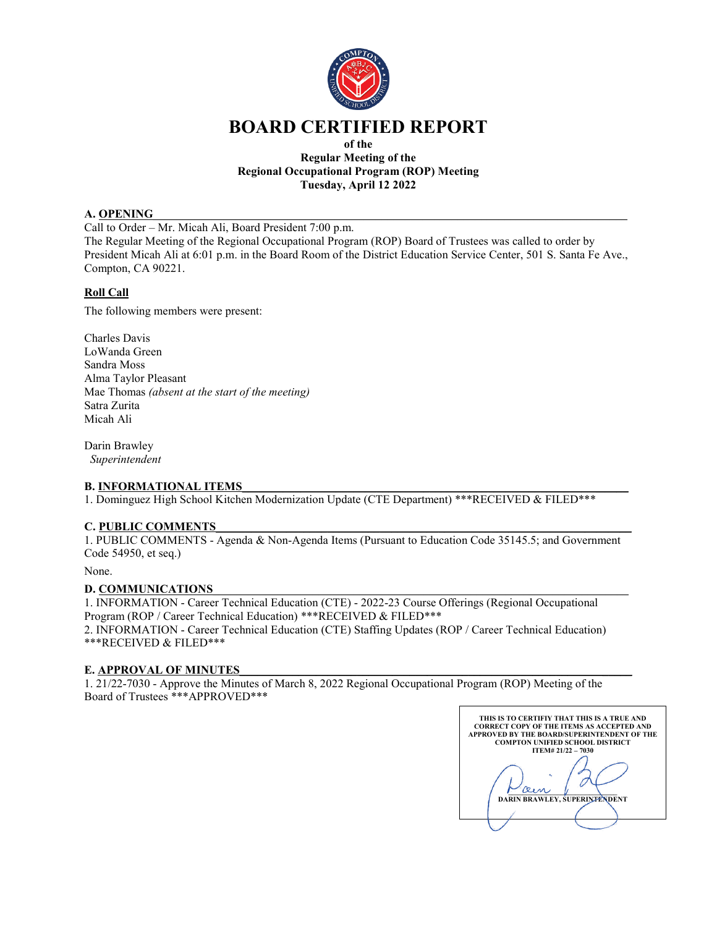

# **BOARD CERTIFIED REPORT**

### **of the Regular Meeting of the Regional Occupational Program (ROP) Meeting Tuesday, April 12 2022**

# **A. OPENING**

Call to Order – Mr. Micah Ali, Board President 7:00 p.m.

The Regular Meeting of the Regional Occupational Program (ROP) Board of Trustees was called to order by President Micah Ali at 6:01 p.m. in the Board Room of the District Education Service Center, 501 S. Santa Fe Ave., Compton, CA 90221.

# **Roll Call**

The following members were present:

Charles Davis LoWanda Green Sandra Moss Alma Taylor Pleasant Mae Thomas *(absent at the start of the meeting)* Satra Zurita Micah Ali

Darin Brawley *Superintendent*

# **B. INFORMATIONAL ITEMS**

1. Dominguez High School Kitchen Modernization Update (CTE Department) \*\*\*RECEIVED & FILED\*\*\*

#### **C. PUBLIC COMMENTS**\_\_\_\_\_\_\_\_\_\_\_\_\_\_\_\_\_\_\_\_\_\_\_\_\_\_\_\_\_\_\_\_\_\_\_\_\_\_\_\_\_\_\_\_\_\_\_\_\_\_\_\_\_\_\_\_\_\_\_\_\_\_\_\_\_\_\_\_\_\_\_

1. PUBLIC COMMENTS - Agenda & Non-Agenda Items (Pursuant to Education Code 35145.5; and Government Code 54950, et seq.)

None.

#### **D. COMMUNICATIONS**

1. INFORMATION - Career Technical Education (CTE) - 2022-23 Course Offerings (Regional Occupational Program (ROP / Career Technical Education) \*\*\*RECEIVED & FILED\*\*\*

2. INFORMATION - Career Technical Education (CTE) Staffing Updates (ROP / Career Technical Education) \*\*\*RECEIVED & FILED\*\*\*

#### **E. APPROVAL OF MINUTES**

1. 21/22-7030 - Approve the Minutes of March 8, 2022 Regional Occupational Program (ROP) Meeting of the Board of Trustees \*\*\*APPROVED\*\*\*

**THIS IS TO CERTIFIY THAT THIS IS A TRUE AND CORRECT COPY OF THE ITEMS AS ACCEPTED AND APPROVED BY THE BOARD/SUPERINTENDENT OF THE COMPTON UNIFIED SCHOOL DISTRICT ITEM# 21/22 – 7030** 0 **\_\_\_\_\_\_\_\_\_\_\_\_\_\_\_\_\_\_\_\_\_\_\_\_\_\_\_\_\_\_\_ DARIN BRAWLEY, SUPERINTENDENT**